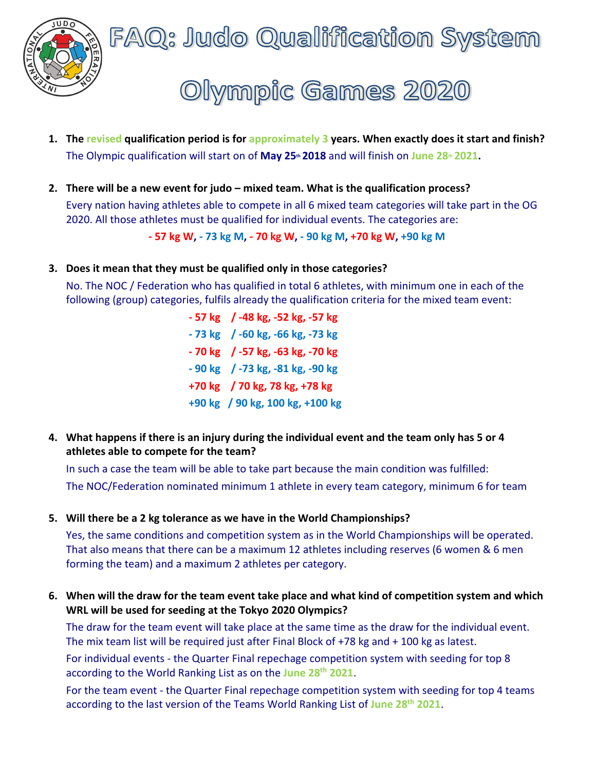

FAQ: Judo Qualification System

# Olympic Games 2020

- **1. The revised qualification period is for approximately 3 years. When exactly does it start and finish?** The Olympic qualification will start on of **May 25<sup>th</sup> 2018** and will finish on June 28<sup>th</sup> 2021.
- **2. There will be a new event for judo – mixed team. What is the qualification process?** Every nation having athletes able to compete in all 6 mixed team categories will take part in the OG 2020. All those athletes must be qualified for individual events. The categories are:

**- 57 kg W, - 73 kg M, - 70 kg W, - 90 kg M, +70 kg W, +90 kg M**

**3. Does it mean that they must be qualified only in those categories?**

No. The NOC / Federation who has qualified in total 6 athletes, with minimum one in each of the following (group) categories, fulfils already the qualification criteria for the mixed team event:

> **- 57 kg / -48 kg, -52 kg, -57 kg - 73 kg / -60 kg, -66 kg, -73 kg - 70 kg / -57 kg, -63 kg, -70 kg - 90 kg / -73 kg, -81 kg, -90 kg +70 kg / 70 kg, 78 kg, +78 kg +90 kg / 90 kg, 100 kg, +100 kg**

**4. What happens if there is an injury during the individual event and the team only has 5 or 4 athletes able to compete for the team?** 

In such a case the team will be able to take part because the main condition was fulfilled: The NOC/Federation nominated minimum 1 athlete in every team category, minimum 6 for team

**5. Will there be a 2 kg tolerance as we have in the World Championships?**

Yes, the same conditions and competition system as in the World Championships will be operated. That also means that there can be a maximum 12 athletes including reserves (6 women & 6 men forming the team) and a maximum 2 athletes per category.

**6. When will the draw for the team event take place and what kind of competition system and which WRL will be used for seeding at the Tokyo 2020 Olympics?**

The draw for the team event will take place at the same time as the draw for the individual event. The mix team list will be required just after Final Block of +78 kg and + 100 kg as latest.

For individual events - the Quarter Final repechage competition system with seeding for top 8 according to the World Ranking List as on the **June 28th 2021**.

For the team event - the Quarter Final repechage competition system with seeding for top 4 teams according to the last version of the Teams World Ranking List of **June 28th 2021**.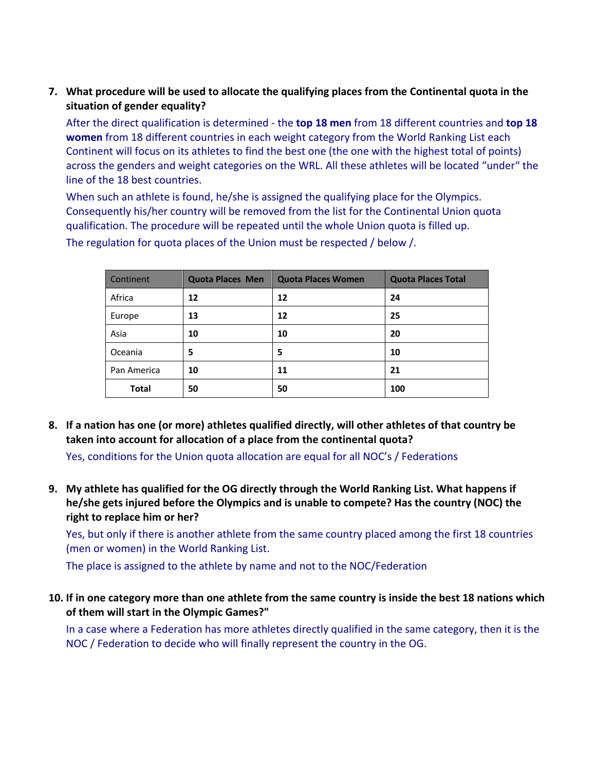**7. What procedure will be used to allocate the qualifying places from the Continental quota in the situation of gender equality?**

After the direct qualification is determined - the **top 18 men** from 18 different countries and **top 18 women** from 18 different countries in each weight category from the World Ranking List each Continent will focus on its athletes to find the best one (the one with the highest total of points) across the genders and weight categories on the WRL. All these athletes will be located "under" the line of the 18 best countries.

When such an athlete is found, he/she is assigned the qualifying place for the Olympics. Consequently his/her country will be removed from the list for the Continental Union quota qualification. The procedure will be repeated until the whole Union quota is filled up.

| Continent    | <b>Quota Places Men</b> | <b>Quota Places Women</b> | <b>Quota Places Total</b> |
|--------------|-------------------------|---------------------------|---------------------------|
| Africa       | 12                      | 12                        | 24                        |
| Europe       | 13                      | 12                        | 25                        |
| Asia         | 10                      | 10                        | 20                        |
| Oceania      | 5                       | 5                         | 10                        |
| Pan America  | 10                      | 11                        | 21                        |
| <b>Total</b> | 50                      | 50                        | 100                       |

The regulation for quota places of the Union must be respected / below /.

**8. If a nation has one (or more) athletes qualified directly, will other athletes of that country be taken into account for allocation of a place from the continental quota?**

Yes, conditions for the Union quota allocation are equal for all NOC's / Federations

**9. My athlete has qualified for the OG directly through the World Ranking List. What happens if he/she gets injured before the Olympics and is unable to compete? Has the country (NOC) the right to replace him or her?**

Yes, but only if there is another athlete from the same country placed among the first 18 countries (men or women) in the World Ranking List.

The place is assigned to the athlete by name and not to the NOC/Federation

**10. If in one category more than one athlete from the same country is inside the best 18 nations which of them will start in the Olympic Games?"**

In a case where a Federation has more athletes directly qualified in the same category, then it is the NOC / Federation to decide who will finally represent the country in the OG.